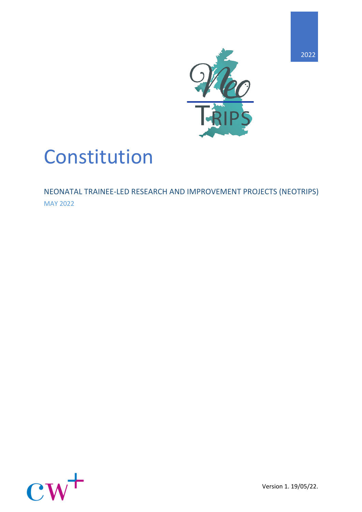

# Constitution

NEONATAL TRAINEE-LED RESEARCH AND IMPROVEMENT PROJECTS (NEOTRIPS) MAY 2022

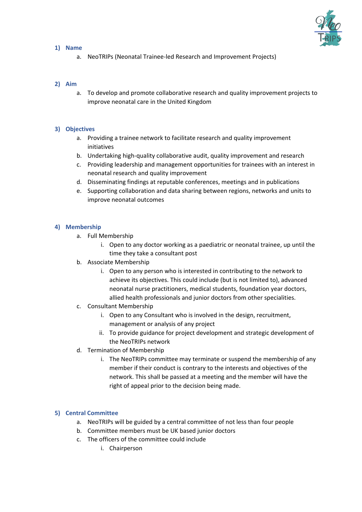

#### **1) Name**

a. NeoTRIPs (Neonatal Trainee-led Research and Improvement Projects)

## **2) Aim**

a. To develop and promote collaborative research and quality improvement projects to improve neonatal care in the United Kingdom

## **3) Objectives**

- a. Providing a trainee network to facilitate research and quality improvement initiatives
- b. Undertaking high-quality collaborative audit, quality improvement and research
- c. Providing leadership and management opportunities for trainees with an interest in neonatal research and quality improvement
- d. Disseminating findings at reputable conferences, meetings and in publications
- e. Supporting collaboration and data sharing between regions, networks and units to improve neonatal outcomes

## **4) Membership**

- a. Full Membership
	- i. Open to any doctor working as a paediatric or neonatal trainee, up until the time they take a consultant post
- b. Associate Membership
	- i. Open to any person who is interested in contributing to the network to achieve its objectives. This could include (but is not limited to), advanced neonatal nurse practitioners, medical students, foundation year doctors, allied health professionals and junior doctors from other specialities.
- c. Consultant Membership
	- i. Open to any Consultant who is involved in the design, recruitment, management or analysis of any project
	- ii. To provide guidance for project development and strategic development of the NeoTRIPs network
- d. Termination of Membership
	- i. The NeoTRIPs committee may terminate or suspend the membership of any member if their conduct is contrary to the interests and objectives of the network. This shall be passed at a meeting and the member will have the right of appeal prior to the decision being made.

# **5) Central Committee**

- a. NeoTRIPs will be guided by a central committee of not less than four people
- b. Committee members must be UK based junior doctors
- c. The officers of the committee could include
	- i. Chairperson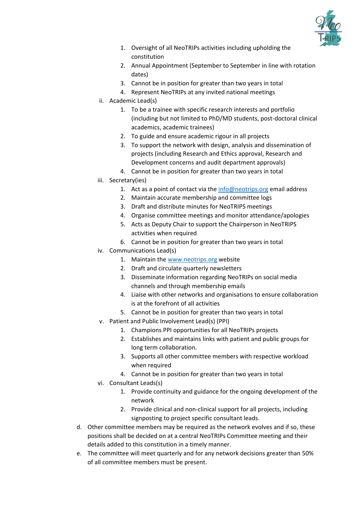

- 1. Oversight of all NeoTRIPs activities including upholding the constitution
- 2. Annual Appointment (September to September in line with rotation dates)
- 3. Cannot be in position for greater than two years in total
- 4. Represent NeoTRIPs at any invited national meetings
- ii. Academic Lead(s)
	- 1. To be a trainee with specific research interests and portfolio (including but not limited to PhD/MD students, post-doctoral clinical academics, academic trainees)
	- 2. To guide and ensure academic rigour in all projects
	- 3. To support the network with design, analysis and dissemination of projects (including Research and Ethics approval, Research and Development concerns and audit department approvals)
	- 4. Cannot be in position for greater than two years in total
- iii. Secretary(ies)
	- 1. Act as a point of contact via the  $info@neotrips.org$  email address
	- 2. Maintain accurate membership and committee logs
	- 3. Draft and distribute minutes for NeoTRIPS meetings
	- 4. Organise committee meetings and monitor attendance/apologies
	- 5. Acts as Deputy Chair to support the Chairperson in NeoTRIPS activities when required
	- 6. Cannot be in position for greater than two years in total
- iv. Communications Lead(s)
	- 1. Maintain the [www.neotrips.org](http://www.neotrips.org/) website
	- 2. Draft and circulate quarterly newsletters
	- 3. Disseminate information regarding NeoTRIPs on social media channels and through membership emails
	- 4. Liaise with other networks and organisations to ensure collaboration is at the forefront of all activities
	- 5. Cannot be in position for greater than two years in total
- v. Patient and Public Involvement Lead(s) (PPI)
	- 1. Champions PPI opportunities for all NeoTRIPs projects
	- 2. Establishes and maintains links with patient and public groups for long term collaboration.
	- 3. Supports all other committee members with respective workload when required
	- 4. Cannot be in position for greater than two years in total
- vi. Consultant Leads(s)
	- 1. Provide continuity and guidance for the ongoing development of the network
	- 2. Provide clinical and non-clinical support for all projects, including signposting to project specific consultant leads.
- d. Other committee members may be required as the network evolves and if so, these positions shall be decided on at a central NeoTRIPs Committee meeting and their details added to this constitution in a timely manner.
- e. The committee will meet quarterly and for any network decisions greater than 50% of all committee members must be present.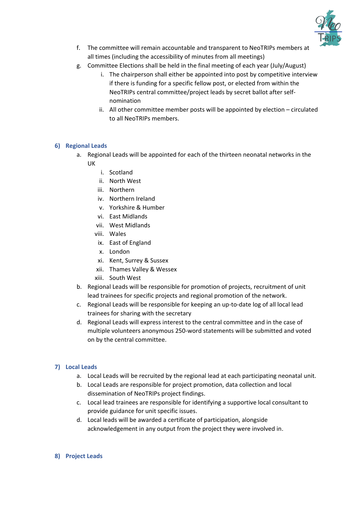

- f. The committee will remain accountable and transparent to NeoTRIPs members at all times (including the accessibility of minutes from all meetings)
- g. Committee Elections shall be held in the final meeting of each year (July/August)
	- i. The chairperson shall either be appointed into post by competitive interview if there is funding for a specific fellow post, or elected from within the NeoTRIPs central committee/project leads by secret ballot after selfnomination
	- ii. All other committee member posts will be appointed by election circulated to all NeoTRIPs members.

# **6) Regional Leads**

- a. Regional Leads will be appointed for each of the thirteen neonatal networks in the UK
	- i. Scotland
	- ii. North West
	- iii. Northern
	- iv. Northern Ireland
	- v. Yorkshire & Humber
	- vi. East Midlands
	- vii. West Midlands
	- viii. Wales
	- ix. East of England
	- x. London
	- xi. Kent, Surrey & Sussex
	- xii. Thames Valley & Wessex
	- xiii. South West
- b. Regional Leads will be responsible for promotion of projects, recruitment of unit lead trainees for specific projects and regional promotion of the network.
- c. Regional Leads will be responsible for keeping an up-to-date log of all local lead trainees for sharing with the secretary
- d. Regional Leads will express interest to the central committee and in the case of multiple volunteers anonymous 250-word statements will be submitted and voted on by the central committee.

# **7) Local Leads**

- a. Local Leads will be recruited by the regional lead at each participating neonatal unit.
- b. Local Leads are responsible for project promotion, data collection and local dissemination of NeoTRIPs project findings.
- c. Local lead trainees are responsible for identifying a supportive local consultant to provide guidance for unit specific issues.
- d. Local leads will be awarded a certificate of participation, alongside acknowledgement in any output from the project they were involved in.

#### **8) Project Leads**